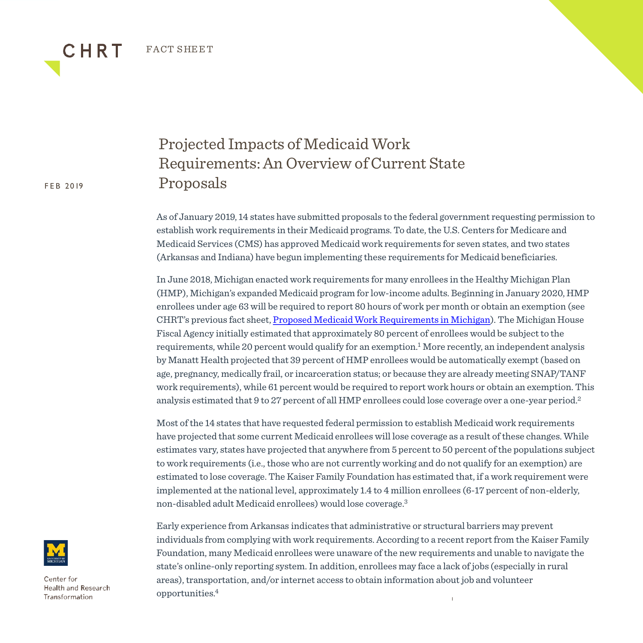FACT SHEET

## FEB 2019

CHRT

Projected Impacts of Medicaid Work Requirements: An Overview of Current State Proposals

As of January 2019, 14 states have submitted proposals to the federal government requesting permission to establish work requirements in their Medicaid programs. To date, the U.S. Centers for Medicare and Medicaid Services (CMS) has approved Medicaid work requirements for seven states, and two states (Arkansas and Indiana) have begun implementing these requirements for Medicaid beneficiaries.

In June 2018, Michigan enacted work requirements for many enrollees in the Healthy Michigan Plan (HMP), Michigan's expanded Medicaid program for low-income adults. Beginning in January 2020, HMP enrollees under age 63 will be required to report 80 hours of work per month or obtain an exemption (see CHRT's previous fact sheet, [Proposed Medicaid Work Requirements in Michigan\)](https://www.chrt.org/publication/proposed-work-requirements-for-medicaid-in-michigan-june-7-2018/). The Michigan House Fiscal Agency initially estimated that approximately 80 percent of enrollees would be subject to the requirements, while 20 percent would qualify for an exemption.<sup>1</sup> More recently, an independent analysis by Manatt Health projected that 39 percent of HMP enrollees would be automatically exempt (based on age, pregnancy, medically frail, or incarceration status; or because they are already meeting SNAP/TANF work requirements), while 61 percent would be required to report work hours or obtain an exemption. This analysis estimated that 9 to 27 percent of all HMP enrollees could lose coverage over a one-year period.2

Most of the 14 states that have requested federal permission to establish Medicaid work requirements have projected that some current Medicaid enrollees will lose coverage as a result of these changes. While estimates vary, states have projected that anywhere from 5 percent to 50 percent of the populations subject to work requirements (i.e., those who are not currently working and do not qualify for an exemption) are estimated to lose coverage. The Kaiser Family Foundation has estimated that, if a work requirement were implemented at the national level, approximately 1.4 to 4 million enrollees (6-17 percent of non-elderly, non-disabled adult Medicaid enrollees) would lose coverage.3

1 Early experience from Arkansas indicates that administrative or structural barriers may prevent individuals from complying with work requirements. According to a recent report from the Kaiser Family Foundation, many Medicaid enrollees were unaware of the new requirements and unable to navigate the state's online-only reporting system. In addition, enrollees may face a lack of jobs (especially in rural areas), transportation, and/or internet access to obtain information about job and volunteer opportunities.4



Center for **Health and Research** Transformation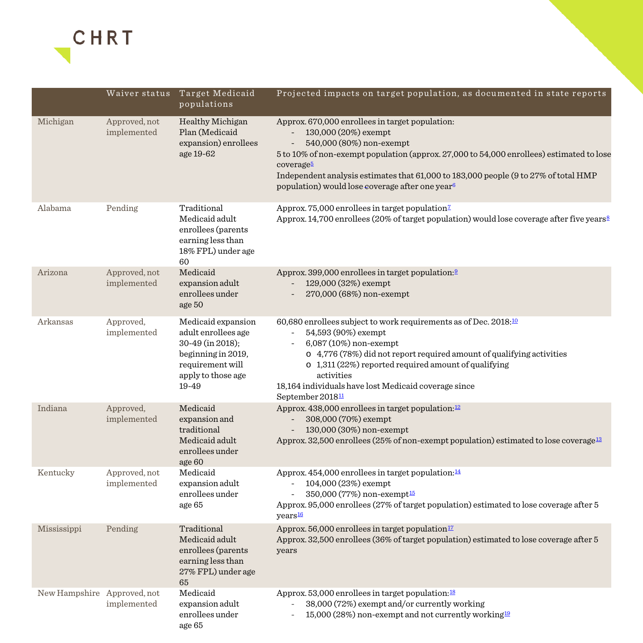

|                             | Waiver status                | Target Medicaid<br>populations                                                                                                         | Projected impacts on target population, as documented in state reports                                                                                                                                                                                                                                                                                             |
|-----------------------------|------------------------------|----------------------------------------------------------------------------------------------------------------------------------------|--------------------------------------------------------------------------------------------------------------------------------------------------------------------------------------------------------------------------------------------------------------------------------------------------------------------------------------------------------------------|
| Michigan                    | Approved, not<br>implemented | Healthy Michigan<br>Plan (Medicaid<br>expansion) enrollees<br>age 19-62                                                                | Approx. 670,000 enrollees in target population:<br>130,000 (20%) exempt<br>540,000 (80%) non-exempt<br>5 to 10% of non-exempt population (approx. 27,000 to 54,000 enrollees) estimated to lose<br>coverage5<br>Independent analysis estimates that 61,000 to 183,000 people (9 to 27% of total HMP<br>population) would lose coverage after one year <sup>6</sup> |
| Alabama                     | Pending                      | Traditional<br>Medicaid adult<br>enrollees (parents<br>earning less than<br>18% FPL) under age<br>60                                   | Approx. 75,000 enrollees in target population <sup>7</sup><br>Approx. 14,700 enrollees (20% of target population) would lose coverage after five years <sup>8</sup>                                                                                                                                                                                                |
| Arizona                     | Approved, not<br>implemented | Medicaid<br>expansion adult<br>enrollees under<br>age 50                                                                               | Approx. 399,000 enrollees in target population: <sup>9</sup><br>129,000 (32%) exempt<br>270,000 (68%) non-exempt                                                                                                                                                                                                                                                   |
| Arkansas                    | Approved,<br>implemented     | Medicaid expansion<br>adult enrollees age<br>30-49 (in 2018);<br>beginning in 2019,<br>requirement will<br>apply to those age<br>19-49 | 60,680 enrollees subject to work requirements as of Dec. 2018:10<br>54,593 (90%) exempt<br>6,087 (10%) non-exempt<br>o 4,776 (78%) did not report required amount of qualifying activities<br>$\circ$ 1,311 (22%) reported required amount of qualifying<br>activities<br>18,164 individuals have lost Medicaid coverage since<br>September 2018 <sup>11</sup>     |
| Indiana                     | Approved,<br>implemented     | Medicaid<br>expansion and<br>traditional<br>Medicaid adult<br>enrollees under<br>age 60                                                | Approx. 438,000 enrollees in target population: <sup>12</sup><br>308,000 (70%) exempt<br>130,000 (30%) non-exempt<br>Approx. 32,500 enrollees (25% of non-exempt population) estimated to lose coverage <sup>13</sup>                                                                                                                                              |
| Kentucky                    | Approved, not<br>implemented | Medicaid<br>expansion adult<br>enrollees under<br>age 65                                                                               | Approx. 454,000 enrollees in target population: <sup>14</sup><br>104,000 (23%) exempt<br>350,000 (77%) non-exempt <sup>15</sup><br>Approx. 95,000 enrollees (27% of target population) estimated to lose coverage after 5<br>years <sup>16</sup>                                                                                                                   |
| Mississippi                 | Pending                      | Traditional<br>Medicaid adult<br>enrollees (parents<br>earning less than<br>27% FPL) under age<br>65                                   | Approx. 56,000 enrollees in target population <sup>17</sup><br>Approx. 32,500 enrollees (36% of target population) estimated to lose coverage after 5<br>years                                                                                                                                                                                                     |
| New Hampshire Approved, not | implemented                  | Medicaid<br>expansion adult<br>enrollees under<br>age 65                                                                               | Approx. 53,000 enrollees in target population: <sup>18</sup><br>38,000 (72%) exempt and/or currently working<br>15,000 (28%) non-exempt and not currently working <sup>19</sup>                                                                                                                                                                                    |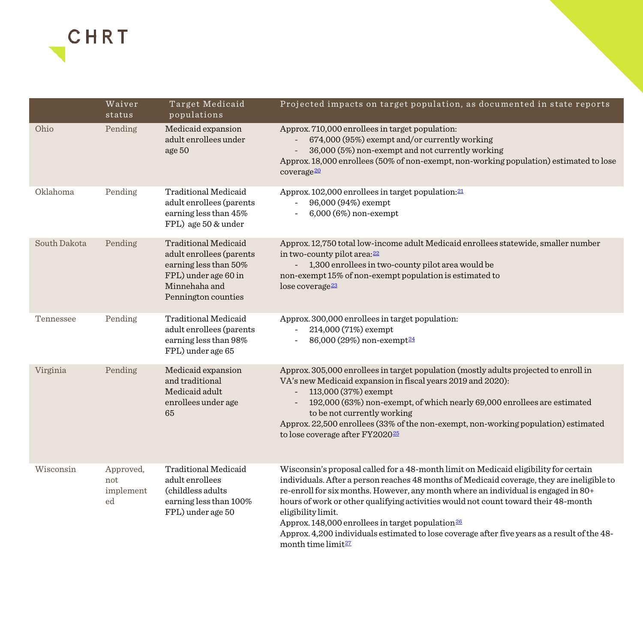<span id="page-2-0"></span>

|              | Waiver<br>status                    | Target Medicaid<br>populations                                                                                                                   | Projected impacts on target population, as documented in state reports                                                                                                                                                                                                                                                                                                                                                                                                                                                                                                                  |
|--------------|-------------------------------------|--------------------------------------------------------------------------------------------------------------------------------------------------|-----------------------------------------------------------------------------------------------------------------------------------------------------------------------------------------------------------------------------------------------------------------------------------------------------------------------------------------------------------------------------------------------------------------------------------------------------------------------------------------------------------------------------------------------------------------------------------------|
| Ohio         | Pending                             | Medicaid expansion<br>adult enrollees under<br>age 50                                                                                            | Approx. 710,000 enrollees in target population:<br>674,000 (95%) exempt and/or currently working<br>36,000 (5%) non-exempt and not currently working<br>Approx. 18,000 enrollees (50% of non-exempt, non-working population) estimated to lose<br>coverage <sup>20</sup>                                                                                                                                                                                                                                                                                                                |
| Oklahoma     | Pending                             | <b>Traditional Medicaid</b><br>adult enrollees (parents<br>earning less than 45%<br>FPL) age 50 & under                                          | Approx. 102,000 enrollees in target population: 21<br>96,000 (94%) exempt<br>6,000 (6%) non-exempt<br>$\overline{\phantom{a}}$                                                                                                                                                                                                                                                                                                                                                                                                                                                          |
| South Dakota | Pending                             | <b>Traditional Medicaid</b><br>adult enrollees (parents<br>earning less than 50%<br>FPL) under age 60 in<br>Minnehaha and<br>Pennington counties | Approx. 12,750 total low-income adult Medicaid enrollees statewide, smaller number<br>in two-county pilot area: 22<br>1,300 enrollees in two-county pilot area would be<br>non-exempt 15% of non-exempt population is estimated to<br>lose coverage <sup>23</sup>                                                                                                                                                                                                                                                                                                                       |
| Tennessee    | Pending                             | <b>Traditional Medicaid</b><br>adult enrollees (parents<br>earning less than 98%<br>FPL) under age 65                                            | Approx. 300,000 enrollees in target population:<br>214,000 (71%) exempt<br>86,000 (29%) non-exempt <sup>24</sup>                                                                                                                                                                                                                                                                                                                                                                                                                                                                        |
| Virginia     | Pending                             | Medicaid expansion<br>and traditional<br>Medicaid adult<br>enrollees under age<br>65                                                             | Approx. 305,000 enrollees in target population (mostly adults projected to enroll in<br>VA's new Medicaid expansion in fiscal years 2019 and 2020):<br>113,000 (37%) exempt<br>192,000 (63%) non-exempt, of which nearly 69,000 enrollees are estimated<br>to be not currently working<br>Approx. 22,500 enrollees (33% of the non-exempt, non-working population) estimated<br>to lose coverage after FY2020 <sup>25</sup>                                                                                                                                                             |
| Wisconsin    | Approved,<br>not<br>implement<br>ed | <b>Traditional Medicaid</b><br>adult enrollees<br>(childless adults)<br>earning less than 100%<br>FPL) under age 50                              | Wisconsin's proposal called for a 48-month limit on Medicaid eligibility for certain<br>individuals. After a person reaches 48 months of Medicaid coverage, they are ineligible to<br>re-enroll for six months. However, any month where an individual is engaged in 80+<br>hours of work or other qualifying activities would not count toward their 48-month<br>eligibility limit.<br>Approx. 148,000 enrollees in target population $\frac{26}{3}$<br>Approx. 4,200 individuals estimated to lose coverage after five years as a result of the 48-<br>month time limit <sup>27</sup> |